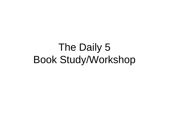# The Daily 5 Book Study/Workshop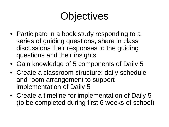# **Objectives**

- Participate in a book study responding to a series of guiding questions, share in class discussions their responses to the guiding questions and their insights
- Gain knowledge of 5 components of Daily 5
- Create a classroom structure: daily schedule and room arrangement to support implementation of Daily 5
- Create a timeline for implementation of Daily 5 (to be completed during first 6 weeks of school)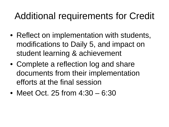#### Additional requirements for Credit

- Reflect on implementation with students, modifications to Daily 5, and impact on student learning & achievement
- Complete a reflection log and share documents from their implementation efforts at the final session
- Meet Oct. 25 from 4:30 6:30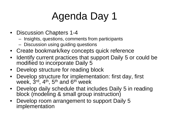# Agenda Day 1

- Discussion Chapters 1-4
	- Insights, questions, comments from participants
	- Discussion using guiding questions
- Create bookmark/key concepts quick reference
- Identify current practices that support Daily 5 or could be modified to incorporate Daily 5
- Develop structure for reading block
- Develop structure for implementation: first day, first week, 3rd, 4<sup>th</sup>, 5<sup>th</sup> and 6<sup>th</sup> week
- Develop daily schedule that includes Daily 5 in reading block (modeling & small group instruction)
- Develop room arrangement to support Daily 5 implementation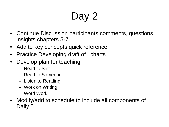# Day 2

- Continue Discussion participants comments, questions, insights chapters 5-7
- Add to key concepts quick reference
- Practice Developing draft of I charts
- Develop plan for teaching
	- Read to Self
	- Read to Someone
	- Listen to Reading
	- Work on Writing
	- Word Work
- Modify/add to schedule to include all components of Daily 5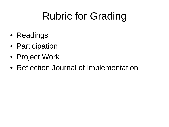# Rubric for Grading

- Readings
- Participation
- Project Work
- Reflection Journal of Implementation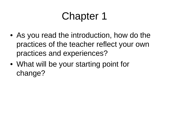- As you read the introduction, how do the practices of the teacher reflect your own practices and experiences?
- What will be your starting point for change?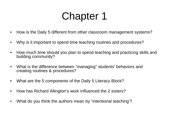- How is the Daily 5 different from other classroom management systems?
- Why is it important to spend time teaching routines and procedures?
- How much time should you plan to spend teaching and practicing skills and building community?
- What is the difference between "managing" students' behaviors and creating routines & procedures?
- What are the 5 components of the Daily 5 Literacy Block?
- How has Richard Allington's work influenced the 2 sisters?
- What do you think the authors mean by "intentional teaching'?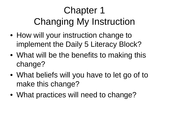# Chapter 1 Changing My Instruction

- How will your instruction change to implement the Daily 5 Literacy Block?
- What will be the benefits to making this change?
- What beliefs will you have to let go of to make this change?
- What practices will need to change?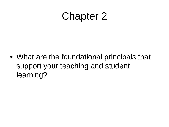• What are the foundational principals that support your teaching and student learning?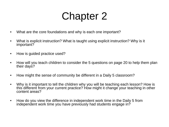- What are the core foundations and why is each one important?
- What is explicit instruction? What is taught using explicit instruction? Why is it important?
- How is quided practice used?
- How will you teach children to consider the 5 questions on page 20 to help them plan their days?
- How might the sense of community be different in a Daily 5 classroom?
- Why is it important to tell the children why you will be teaching each lesson? How is this different from your current practice? How might it change your teaching in other content areas?
- How do you view the difference in independent work time in the Daily 5 from independent work time you have previously had students engage in?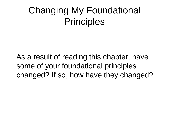#### Changing My Foundational **Principles**

 As a result of reading this chapter, have some of your foundational principles changed? If so, how have they changed?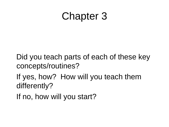Did you teach parts of each of these key concepts/routines?

 If yes, how? How will you teach them differently?

If no, how will you start?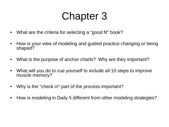- What are the criteria for selecting a "good fit" book?
- How is your view of modeling and guided practice changing or being shaped?
- What is the purpose of anchor charts? Why are they important?
- What will you do to cue yourself to include all 10 steps to improve muscle memory?
- Why is the "check in" part of the process important?
- How is modeling in Daily 5 different from other modeling strategies?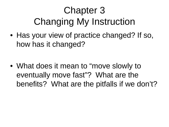# Chapter 3 Changing My Instruction

• Has your view of practice changed? If so, how has it changed?

• What does it mean to "move slowly to eventually move fast"? What are the benefits? What are the pitfalls if we don't?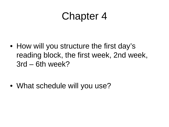• How will you structure the first day's reading block, the first week, 2nd week, 3rd – 6th week?

• What schedule will you use?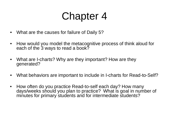- What are the causes for failure of Daily 5?
- How would you model the metacognitive process of think aloud for each of the 3 ways to read a book?
- What are I-charts? Why are they important? How are they generated?
- What behaviors are important to include in I-charts for Read-to-Self?
- How often do you practice Read-to-self each day? How many days/weeks should you plan to practice? What is goal in number of minutes for primary students and for intermediate students?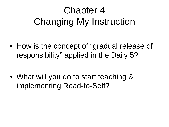### Chapter 4 Changing My Instruction

• How is the concept of "gradual release of responsibility" applied in the Daily 5?

• What will you do to start teaching & implementing Read-to-Self?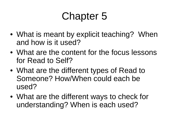- What is meant by explicit teaching? When and how is it used?
- What are the content for the focus lessons for Read to Self?
- What are the different types of Read to Someone? How/When could each be used?
- What are the different ways to check for understanding? When is each used?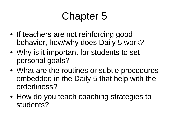- If teachers are not reinforcing good behavior, how/why does Daily 5 work?
- Why is it important for students to set personal goals?
- What are the routines or subtle procedures embedded in the Daily 5 that help with the orderliness?
- How do you teach coaching strategies to students?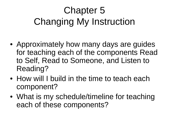# Chapter 5 Changing My Instruction

- Approximately how many days are guides for teaching each of the components Read to Self, Read to Someone, and Listen to Reading?
- How will I build in the time to teach each component?
- What is my schedule/timeline for teaching each of these components?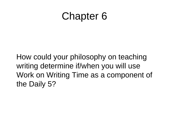How could your philosophy on teaching writing determine if/when you will use Work on Writing Time as a component of the Daily 5?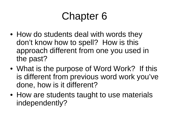- How do students deal with words they don't know how to spell? How is this approach different from one you used in the past?
- What is the purpose of Word Work? If this is different from previous word work you've done, how is it different?
- How are students taught to use materials independently?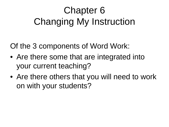### Chapter 6 Changing My Instruction

Of the 3 components of Word Work:

- Are there some that are integrated into your current teaching?
- Are there others that you will need to work on with your students?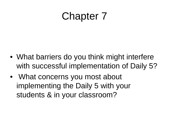- What barriers do you think might interfere with successful implementation of Daily 5?
- What concerns you most about implementing the Daily 5 with your students & in your classroom?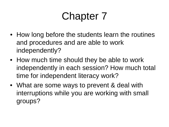- How long before the students learn the routines and procedures and are able to work independently?
- How much time should they be able to work independently in each session? How much total time for independent literacy work?
- What are some ways to prevent & deal with interruptions while you are working with small groups?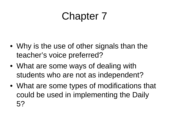- Why is the use of other signals than the teacher's voice preferred?
- What are some ways of dealing with students who are not as independent?
- What are some types of modifications that could be used in implementing the Daily 5?